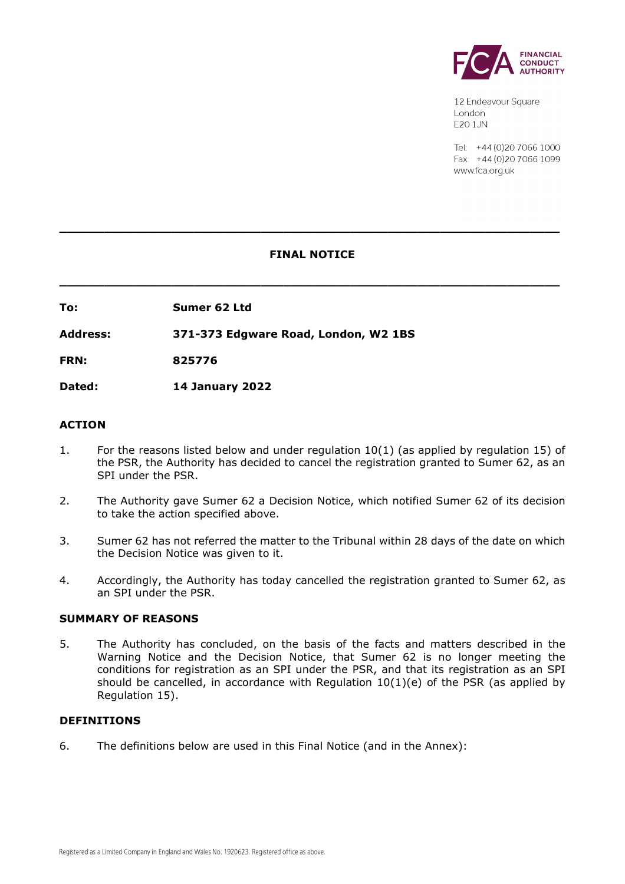

12 Endeavour Square London E201JN

Tel: +44 (0) 20 7066 1000 Fax: +44 (0) 20 7066 1099 www.fca.org.uk

# **FINAL NOTICE**

**\_\_\_\_\_\_\_\_\_\_\_\_\_\_\_\_\_\_\_\_\_\_\_\_\_\_\_\_\_\_\_\_\_\_\_\_\_\_\_\_\_\_\_\_\_\_\_\_\_\_\_\_\_\_\_\_\_\_\_\_\_\_\_\_\_\_\_**

**\_\_\_\_\_\_\_\_\_\_\_\_\_\_\_\_\_\_\_\_\_\_\_\_\_\_\_\_\_\_\_\_\_\_\_\_\_\_\_\_\_\_\_\_\_\_\_\_\_\_\_\_\_\_\_\_\_\_\_\_\_\_\_\_\_\_\_**

**To: Sumer 62 Ltd**

**Address: 371-373 Edgware Road, London, W2 1BS**

**FRN: 825776**

**Dated: 14 January 2022**

## **ACTION**

- 1. For the reasons listed below and under regulation 10(1) (as applied by regulation 15) of the PSR, the Authority has decided to cancel the registration granted to Sumer 62, as an SPI under the PSR.
- 2. The Authority gave Sumer 62 a Decision Notice, which notified Sumer 62 of its decision to take the action specified above.
- 3. Sumer 62 has not referred the matter to the Tribunal within 28 days of the date on which the Decision Notice was given to it.
- 4. Accordingly, the Authority has today cancelled the registration granted to Sumer 62, as an SPI under the PSR.

#### **SUMMARY OF REASONS**

5. The Authority has concluded, on the basis of the facts and matters described in the Warning Notice and the Decision Notice, that Sumer 62 is no longer meeting the conditions for registration as an SPI under the PSR, and that its registration as an SPI should be cancelled, in accordance with Regulation 10(1)(e) of the PSR (as applied by Regulation 15).

#### **DEFINITIONS**

6. The definitions below are used in this Final Notice (and in the Annex):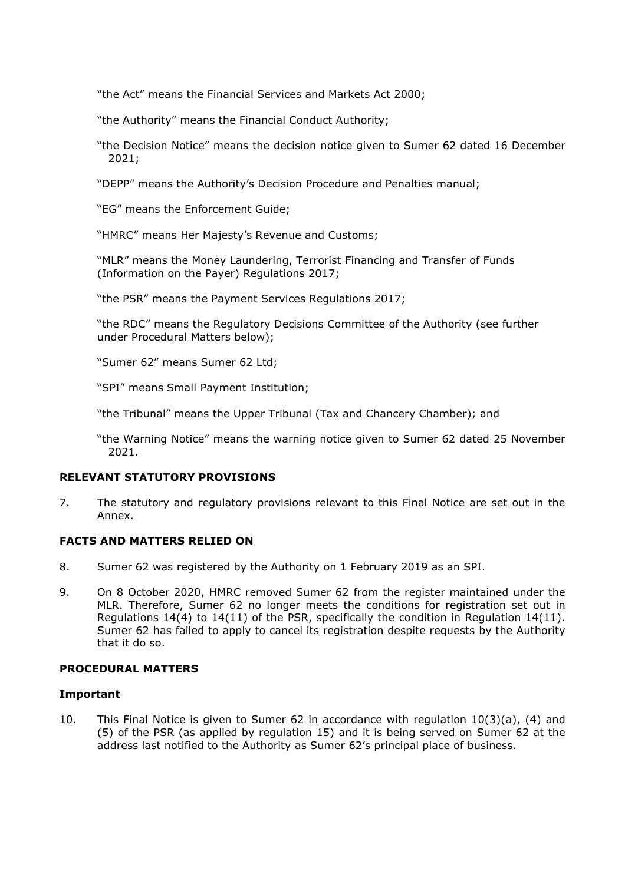"the Act" means the Financial Services and Markets Act 2000;

"the Authority" means the Financial Conduct Authority;

"the Decision Notice" means the decision notice given to Sumer 62 dated 16 December 2021;

"DEPP" means the Authority's Decision Procedure and Penalties manual;

"EG" means the Enforcement Guide;

"HMRC" means Her Majesty's Revenue and Customs;

"MLR" means the Money Laundering, Terrorist Financing and Transfer of Funds (Information on the Payer) Regulations 2017;

"the PSR" means the Payment Services Regulations 2017;

"the RDC" means the Regulatory Decisions Committee of the Authority (see further under Procedural Matters below);

"Sumer 62" means Sumer 62 Ltd;

"SPI" means Small Payment Institution;

"the Tribunal" means the Upper Tribunal (Tax and Chancery Chamber); and

"the Warning Notice" means the warning notice given to Sumer 62 dated 25 November 2021.

## **RELEVANT STATUTORY PROVISIONS**

7. The statutory and regulatory provisions relevant to this Final Notice are set out in the Annex.

#### **FACTS AND MATTERS RELIED ON**

- 8. Sumer 62 was registered by the Authority on 1 February 2019 as an SPI.
- 9. On 8 October 2020, HMRC removed Sumer 62 from the register maintained under the MLR. Therefore, Sumer 62 no longer meets the conditions for registration set out in Regulations  $14(4)$  to  $14(11)$  of the PSR, specifically the condition in Regulation  $14(11)$ . Sumer 62 has failed to apply to cancel its registration despite requests by the Authority that it do so.

#### **PROCEDURAL MATTERS**

#### **Important**

10. This Final Notice is given to Sumer 62 in accordance with regulation 10(3)(a), (4) and (5) of the PSR (as applied by regulation 15) and it is being served on Sumer 62 at the address last notified to the Authority as Sumer 62's principal place of business.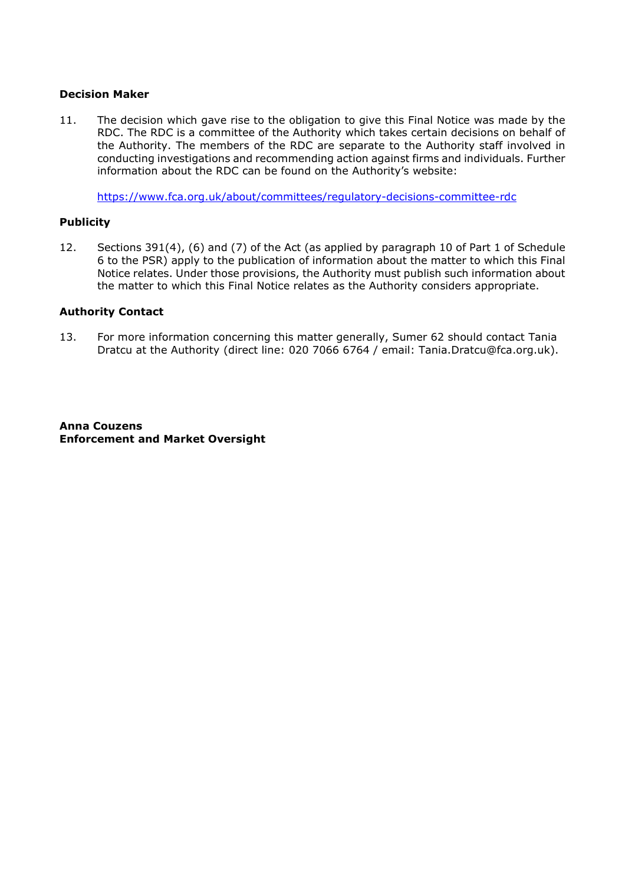## **Decision Maker**

11. The decision which gave rise to the obligation to give this Final Notice was made by the RDC. The RDC is a committee of the Authority which takes certain decisions on behalf of the Authority. The members of the RDC are separate to the Authority staff involved in conducting investigations and recommending action against firms and individuals. Further information about the RDC can be found on the Authority's website:

<https://www.fca.org.uk/about/committees/regulatory-decisions-committee-rdc>

## **Publicity**

12. Sections 391(4), (6) and (7) of the Act (as applied by paragraph 10 of Part 1 of Schedule 6 to the PSR) apply to the publication of information about the matter to which this Final Notice relates. Under those provisions, the Authority must publish such information about the matter to which this Final Notice relates as the Authority considers appropriate.

## **Authority Contact**

13. For more information concerning this matter generally, Sumer 62 should contact Tania Dratcu at the Authority (direct line: 020 7066 6764 / email: Tania.Dratcu@fca.org.uk).

**Anna Couzens Enforcement and Market Oversight**